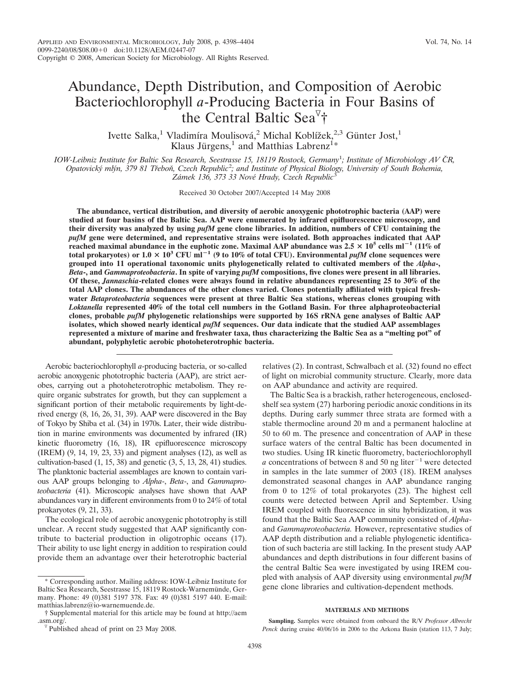# Abundance, Depth Distribution, and Composition of Aerobic Bacteriochlorophyll *a*-Producing Bacteria in Four Basins of the Central Baltic Sea †

Ivette Salka,<sup>1</sup> Vladimíra Moulisová,<sup>2</sup> Michal Koblížek,<sup>2,3</sup> Günter Jost,<sup>1</sup> Klaus Jürgens,<sup>1</sup> and Matthias Labrenz<sup>1</sup>\*

*IOW-Leibniz Institute for Baltic Sea Research, Seestrasse 15, 18119 Rostock, Germany*<sup>1</sup> *; Institute of Microbiology AV CˇR,* Opatovický mlýn, 379 81 Třeboň, Czech Republic<sup>2</sup>; and Institute of Physical Biology, University of South Bohemia, Zámek 136, 373 33 Nové Hrady, Czech Republic<sup>3</sup>

Received 30 October 2007/Accepted 14 May 2008

**The abundance, vertical distribution, and diversity of aerobic anoxygenic phototrophic bacteria (AAP) were studied at four basins of the Baltic Sea. AAP were enumerated by infrared epifluorescence microscopy, and their diversity was analyzed by using** *pufM* **gene clone libraries. In addition, numbers of CFU containing the** *pufM* **gene were determined, and representative strains were isolated. Both approaches indicated that AAP reached maximal abundance in the euphotic zone. Maximal AAP abundance was 2.5 105 cells ml**-**<sup>1</sup> (11% of total prokaryotes) or 1.0 103 CFU ml**-**<sup>1</sup> (9 to 10% of total CFU). Environmental** *pufM* **clone sequences were grouped into 11 operational taxonomic units phylogenetically related to cultivated members of the** *Alpha***-,** *Beta***-, and** *Gammaproteobacteria***. In spite of varying** *pufM* **compositions, five clones were present in all libraries. Of these,** *Jannaschia***-related clones were always found in relative abundances representing 25 to 30% of the total AAP clones. The abundances of the other clones varied. Clones potentially affiliated with typical freshwater** *Betaproteobacteria* **sequences were present at three Baltic Sea stations, whereas clones grouping with** *Loktanella* **represented 40% of the total cell numbers in the Gotland Basin. For three alphaproteobacterial clones, probable** *pufM* **phylogenetic relationships were supported by 16S rRNA gene analyses of Baltic AAP isolates, which showed nearly identical** *pufM* **sequences. Our data indicate that the studied AAP assemblages represented a mixture of marine and freshwater taxa, thus characterizing the Baltic Sea as a "melting pot" of abundant, polyphyletic aerobic photoheterotrophic bacteria.**

Aerobic bacteriochlorophyll *a*-producing bacteria, or so-called aerobic anoxygenic phototrophic bacteria (AAP), are strict aerobes, carrying out a photoheterotrophic metabolism. They require organic substrates for growth, but they can supplement a significant portion of their metabolic requirements by light-derived energy (8, 16, 26, 31, 39). AAP were discovered in the Bay of Tokyo by Shiba et al. (34) in 1970s. Later, their wide distribution in marine environments was documented by infrared (IR) kinetic fluorometry (16, 18), IR epifluorescence microscopy (IREM) (9, 14, 19, 23, 33) and pigment analyses (12), as well as cultivation-based (1, 15, 38) and genetic (3, 5, 13, 28, 41) studies. The planktonic bacterial assemblages are known to contain various AAP groups belonging to *Alpha*-, *Beta*-, and *Gammaproteobacteria* (41). Microscopic analyses have shown that AAP abundances vary in different environments from 0 to 24% of total prokaryotes (9, 21, 33).

The ecological role of aerobic anoxygenic phototrophy is still unclear. A recent study suggested that AAP significantly contribute to bacterial production in oligotrophic oceans (17). Their ability to use light energy in addition to respiration could provide them an advantage over their heterotrophic bacterial relatives (2). In contrast, Schwalbach et al. (32) found no effect of light on microbial community structure. Clearly, more data on AAP abundance and activity are required.

The Baltic Sea is a brackish, rather heterogeneous, enclosedshelf sea system (27) harboring periodic anoxic conditions in its depths. During early summer three strata are formed with a stable thermocline around 20 m and a permanent halocline at 50 to 60 m. The presence and concentration of AAP in these surface waters of the central Baltic has been documented in two studies. Using IR kinetic fluorometry, bacteriochlorophyll *a* concentrations of between 8 and 50 ng liter<sup> $-1$ </sup> were detected in samples in the late summer of 2003 (18). IREM analyses demonstrated seasonal changes in AAP abundance ranging from 0 to 12% of total prokaryotes (23). The highest cell counts were detected between April and September. Using IREM coupled with fluorescence in situ hybridization, it was found that the Baltic Sea AAP community consisted of *Alpha*and *Gammaproteobacteria.* However, representative studies of AAP depth distribution and a reliable phylogenetic identification of such bacteria are still lacking. In the present study AAP abundances and depth distributions in four different basins of the central Baltic Sea were investigated by using IREM coupled with analysis of AAP diversity using environmental *pufM* gene clone libraries and cultivation-dependent methods.

#### **MATERIALS AND METHODS**

**Sampling.** Samples were obtained from onboard the R/V *Professor Albrecht Penck* during cruise 40/06/16 in 2006 to the Arkona Basin (station 113, 7 July;

Corresponding author. Mailing address: IOW-Leibniz Institute for Baltic Sea Research, Seestrasse 15, 18119 Rostock-Warnemünde, Germany. Phone: 49 (0)381 5197 378. Fax: 49 (0)381 5197 440. E-mail: matthias.labrenz@io-warnemuende.de.

<sup>†</sup> Supplemental material for this article may be found at http://aem .asm.org/.<br><sup> $\sqrt{v}$ </sup> Published ahead of print on 23 May 2008.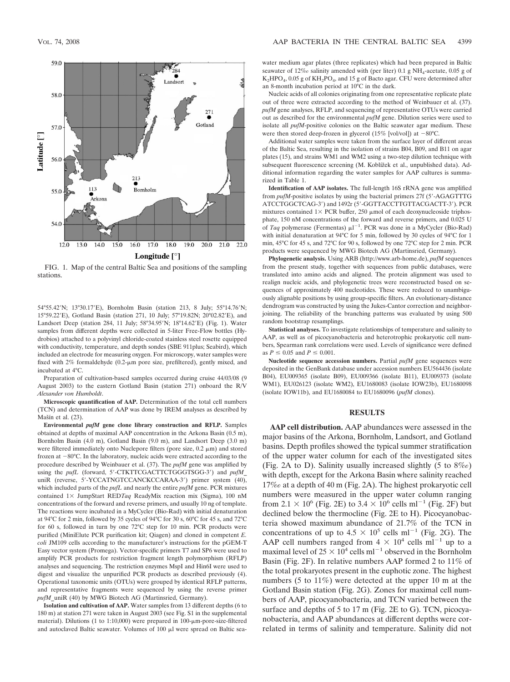

FIG. 1. Map of the central Baltic Sea and positions of the sampling stations.

54°55.42N; 13°30.17E), Bornholm Basin (station 213, 8 July; 55°14.76N; 15°59.22E), Gotland Basin (station 271, 10 July; 57°19.82N; 20°02.82E), and Landsort Deep (station 284, 11 July; 58°34.95'N; 18°14.62'E) (Fig. 1). Water samples from different depths were collected in 5-liter Free-Flow bottles (Hydrobios) attached to a polyvinyl chloride-coated stainless steel rosette equipped with conductivity, temperature, and depth sondes (SBE 911plus; Seabird), which included an electrode for measuring oxygen. For microscopy, water samples were fixed with  $2\%$  formaldehyde (0.2- $\mu$ m pore size, prefiltered), gently mixed, and incubated at 4°C.

Preparation of cultivation-based samples occurred during cruise 44/03/08 (9 August 2003) to the eastern Gotland Basin (station 271) onboard the R/V *Alexander von Humboldt*.

**Microscopic quantification of AAP.** Determination of the total cell numbers (TCN) and determination of AAP was done by IREM analyses as described by Mašín et al. (23).

**Environmental** *pufM* **gene clone library construction and RFLP.** Samples obtained at depths of maximal AAP concentration in the Arkona Basin (0.5 m), Bornholm Basin (4.0 m), Gotland Basin (9.0 m), and Landsort Deep (3.0 m) were filtered immediately onto Nuclepore filters (pore size,  $0.2 \mu m$ ) and stored frozen at  $-80^{\circ}$ C. In the laboratory, nucleic acids were extracted according to the procedure described by Weinbauer et al. (37). The *pufM* gene was amplified by using the *pufL* (forward, 5'-CTKTTCGACTTCTGGGTSGG-3') and *pufM* uniR (reverse, 5'-YCCATNGTCCANCKCCARAA-3') primer system (40), which included parts of the *pufL* and nearly the entire *pufM* gene. PCR mixtures contained  $1 \times$  JumpStart RED*Taq* ReadyMix reaction mix (Sigma), 100 nM concentrations of the forward and reverse primers, and usually 10 ng of template. The reactions were incubated in a MyCycler (Bio-Rad) with initial denaturation at 94°C for 2 min, followed by 35 cycles of 94°C for 30 s, 60°C for 45 s, and 72°C for 60 s, followed in turn by one 72°C step for 10 min. PCR products were purified (MiniElute PCR purification kit; Qiagen) and cloned in competent *E. coli* JM109 cells according to the manufacturer's instructions for the pGEM-T Easy vector system (Promega). Vector-specific primers T7 and SP6 were used to amplify PCR products for restriction fragment length polymorphism (RFLP) analyses and sequencing. The restriction enzymes MspI and Hin6I were used to digest and visualize the unpurified PCR products as described previously (4). Operational taxonomic units (OTUs) were grouped by identical RFLP patterns, and representative fragments were sequenced by using the reverse primer *pufM*\_uniR (40) by MWG Biotech AG (Martinsried, Germany).

**Isolation and cultivation of AAP.** Water samples from 13 different depths (6 to 180 m) at station 271 were taken in August 2003 (see Fig. S1 in the supplemental material). Dilutions (1 to 1:10,000) were prepared in 100- $\mu$ m-pore-size-filtered and autoclaved Baltic seawater. Volumes of  $100 \mu l$  were spread on Baltic seawater medium agar plates (three replicates) which had been prepared in Baltic seawater of  $12\%$  salinity amended with (per liter) 0.1 g NH<sub>4</sub>-acetate, 0.05 g of K<sub>2</sub>HPO<sub>4</sub>, 0.05 g of KH<sub>2</sub>PO<sub>4</sub>, and 15 g of Bacto agar. CFU were determined after an 8-month incubation period at 10°C in the dark.

Nucleic acids of all colonies originating from one representative replicate plate out of three were extracted according to the method of Weinbauer et al. (37). *pufM* gene analyses, RFLP, and sequencing of representative OTUs were carried out as described for the environmental *pufM* gene. Dilution series were used to isolate all *pufM*-positive colonies on the Baltic seawater agar medium. These were then stored deep-frozen in glycerol  $(15\%$  [vol/vol]) at  $-80^{\circ}$ C.

Additional water samples were taken from the surface layer of different areas of the Baltic Sea, resulting in the isolation of strains B04, B09, and B11 on agar plates (15), and strains WM1 and WM2 using a two-step dilution technique with subsequent fluorescence screening (M. Koblížek et al., unpublished data). Additional information regarding the water samples for AAP cultures is summarized in Table 1.

**Identification of AAP isolates.** The full-length 16S rRNA gene was amplified from *pufM*-positive isolates by using the bacterial primers 27f (5'-AGAGTTTG ATCCTGGCTCAG-3) and 1492r (5-GGTTACCTTGTTACGACTT-3). PCR mixtures contained  $1 \times PCR$  buffer, 250  $\mu$ mol of each deoxynucleoside triphosphate, 150 nM concentrations of the forward and reverse primers, and 0.025 U of *Taq* polymerase (Fermentas)  $\mu$ l<sup>-1</sup>. PCR was done in a MyCycler (Bio-Rad) with initial denaturation at 94°C for 5 min, followed by 30 cycles of 94°C for 1 min, 45°C for 45 s, and 72°C for 90 s, followed by one 72°C step for 2 min. PCR products were sequenced by MWG Biotech AG (Martinsried, Germany).

**Phylogenetic analysis.** Using ARB (http://www.arb-home.de), *pufM* sequences from the present study, together with sequences from public databases, were translated into amino acids and aligned. The protein alignment was used to realign nucleic acids, and phylogenetic trees were reconstructed based on sequences of approximately 400 nucleotides. These were reduced to unambiguously alignable positions by using group-specific filters. An evolutionary-distance dendrogram was constructed by using the Jukes-Cantor correction and neighborjoining. The reliability of the branching patterns was evaluated by using 500 random bootstrap resamplings.

**Statistical analyses.** To investigate relationships of temperature and salinity to AAP, as well as of picocyanobacteria and heterotrophic prokaryotic cell numbers, Spearman rank correlations were used. Levels of significance were defined as  $P \le 0.05$  and  $P \le 0.001$ .

**Nucleotide sequence accession numbers.** Partial *pufM* gene sequences were deposited in the GenBank database under accession numbers EU564436 (isolate B04), EU009365 (isolate B09), EU009366 (isolate B11), EU009373 (isolate WM1), EU026123 (isolate WM2), EU1680083 (isolate IOW23b), EU1680098 (isolate IOW11b), and EU1680084 to EU1680096 (*pufM* clones).

## **RESULTS**

**AAP cell distribution.** AAP abundances were assessed in the major basins of the Arkona, Bornholm, Landsort, and Gotland basins. Depth profiles showed the typical summer stratification of the upper water column for each of the investigated sites (Fig. 2A to D). Salinity usually increased slightly  $(5 \text{ to } 8\%)$ with depth, except for the Arkona Basin where salinity reached 17‰ at a depth of 40 m (Fig. 2A). The highest prokaryotic cell numbers were measured in the upper water column ranging from 2.1  $\times$  10<sup>6</sup> (Fig. 2E) to 3.4  $\times$  10<sup>6</sup> cells ml<sup>-1</sup> (Fig. 2F) but declined below the thermocline (Fig. 2E to H). Picocyanobacteria showed maximum abundance of 21.7% of the TCN in concentrations of up to  $4.5 \times 10^5$  cells ml<sup>-1</sup> (Fig. 2G). The AAP cell numbers ranged from  $4 \times 10^4$  cells ml<sup>-1</sup> up to a maximal level of  $25 \times 10^4$  cells ml<sup>-1</sup> observed in the Bornholm Basin (Fig. 2F). In relative numbers AAP formed 2 to 11% of the total prokaryotes present in the euphotic zone. The highest numbers (5 to 11%) were detected at the upper 10 m at the Gotland Basin station (Fig. 2G). Zones for maximal cell numbers of AAP, picocyanobacteria, and TCN varied between the surface and depths of 5 to 17 m (Fig. 2E to G). TCN, picocyanobacteria, and AAP abundances at different depths were correlated in terms of salinity and temperature. Salinity did not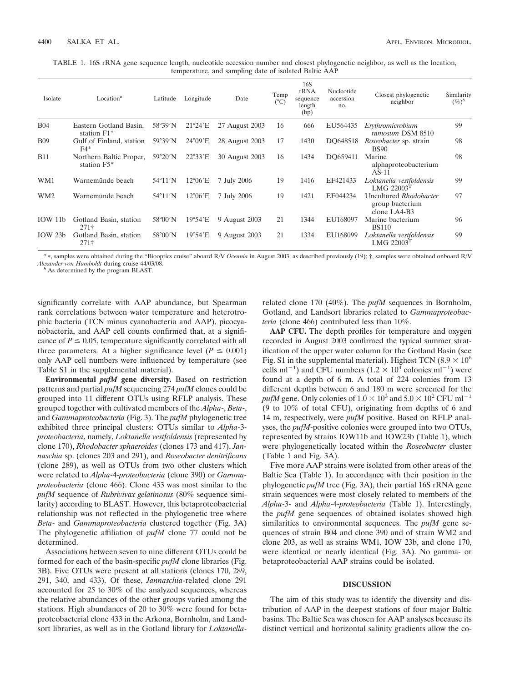TABLE 1. 16S rRNA gene sequence length, nucleotide accession number and closest phylogenetic neighbor, as well as the location, temperature, and sampling date of isolated Baltic AAP

| Isolate         | Location <sup><math>a</math></sup>     | Latitude          | Longitude         | Date           | Temp<br>$(^{\circ}C)$ | 16S<br>rRNA<br>sequence<br>length<br>(bp) | Nucleotide<br>accession<br>no. | Closest phylogenetic<br>neighbor                            | Similarity<br>$(\%)^b$ |
|-----------------|----------------------------------------|-------------------|-------------------|----------------|-----------------------|-------------------------------------------|--------------------------------|-------------------------------------------------------------|------------------------|
| <b>B04</b>      | Eastern Gotland Basin,<br>station F1*  | 58°39'N           | $21^{\circ}24'E$  | 27 August 2003 | 16                    | 666                                       | EU564435                       | Erythromicrobium<br>ramosum DSM 8510                        | 99                     |
| <b>B09</b>      | Gulf of Finland, station<br>$F4*$      | $59^{\circ}39'$ N | $24^{\circ}09'E$  | 28 August 2003 | 17                    | 1430                                      | DO648518                       | <i>Roseobacter</i> sp. strain<br><b>BS90</b>                | 98                     |
| <b>B11</b>      | Northern Baltic Proper,<br>station F5* | $59^{\circ}20'$ N | $22^{\circ}33'$ E | 30 August 2003 | 16                    | 1434                                      | DO659411                       | Marine<br>alphaproteobacterium<br>$AS-11$                   | 98                     |
| WM1             | Warnemünde beach                       | $54^{\circ}11'$ N | $12^{\circ}06'E$  | 7 July 2006    | 19                    | 1416                                      | EF421433                       | Loktanella vestfoldensis<br>LMG $220031$                    | 99                     |
| WM <sub>2</sub> | Warnemünde beach                       | $54^{\circ}11'$ N | $12^{\circ}06'E$  | 7 July 2006    | 19                    | 1421                                      | EF044234                       | Uncultured Rhodobacter<br>group bacterium<br>clone $LA4-B3$ | 97                     |
| IOW11b          | Gotland Basin, station<br>$271\dagger$ | 58°00'N           | 19°54'E           | 9 August 2003  | 21                    | 1344                                      | EU168097                       | Marine bacterium<br><b>BS110</b>                            | 96                     |
| IOW 23b         | Gotland Basin, station<br>$271\dagger$ | 58°00'N           | 19°54'E           | 9 August 2003  | 21                    | 1334                                      | EU168099                       | Loktanella vestfoldensis<br>LMG 22003 <sup>1</sup>          | 99                     |

<sup>a</sup> \*, samples were obtained during the "Biooptics cruise" aboard R/V *Oceania* in August 2003, as described previously (19); †, samples were obtained onboard R/V *Alexander von Humboldt* during cruise 44/03/08.

<sup>*b*</sup> As determined by the program BLAST.

significantly correlate with AAP abundance, but Spearman rank correlations between water temperature and heterotrophic bacteria (TCN minus cyanobacteria and AAP), picocyanobacteria, and AAP cell counts confirmed that, at a significance of  $P \le 0.05$ , temperature significantly correlated with all three parameters. At a higher significance level ( $P \leq 0.001$ ) only AAP cell numbers were influenced by temperature (see Table S1 in the supplemental material).

**Environmental** *pufM* **gene diversity.** Based on restriction patterns and partial *pufM* sequencing 274 *pufM* clones could be grouped into 11 different OTUs using RFLP analysis. These grouped together with cultivated members of the *Alpha*-, *Beta*-, and *Gammaproteobacteria* (Fig. 3). The *pufM* phylogenetic tree exhibited three principal clusters: OTUs similar to *Alpha*-3 *proteobacteria*, namely, *Loktanella vestfoldensis* (represented by clone 170), *Rhodobacter sphaeroides* (clones 173 and 417), *Jannaschia* sp. (clones 203 and 291), and *Roseobacter denitrificans* (clone 289), as well as OTUs from two other clusters which were related to *Alpha*-4-*proteobacteria* (clone 390) or *Gammaproteobacteria* (clone 466). Clone 433 was most similar to the *pufM* sequence of *Rubrivivax gelatinosus* (80% sequence similarity) according to BLAST. However, this betaproteobacterial relationship was not reflected in the phylogenetic tree where *Beta*- and *Gammaproteobacteria* clustered together (Fig. 3A) The phylogenetic affiliation of *pufM* clone 77 could not be determined.

Associations between seven to nine different OTUs could be formed for each of the basin-specific *pufM* clone libraries (Fig. 3B). Five OTUs were present at all stations (clones 170, 289, 291, 340, and 433). Of these, *Jannaschia*-related clone 291 accounted for 25 to 30% of the analyzed sequences, whereas the relative abundances of the other groups varied among the stations. High abundances of 20 to 30% were found for betaproteobacterial clone 433 in the Arkona, Bornholm, and Landsort libraries, as well as in the Gotland library for *Loktanella*- related clone 170 (40%). The *pufM* sequences in Bornholm, Gotland, and Landsort libraries related to *Gammaproteobacteria* (clone 466) contributed less than 10%.

**AAP CFU.** The depth profiles for temperature and oxygen recorded in August 2003 confirmed the typical summer stratification of the upper water column for the Gotland Basin (see Fig. S1 in the supplemental material). Highest TCN (8.9  $\times$  10<sup>6</sup> cells ml<sup>-1</sup>) and CFU numbers  $(1.2 \times 10^4 \text{ colonies m}^{-1})$  were found at a depth of 6 m. A total of 224 colonies from 13 different depths between 6 and 180 m were screened for the pufM gene. Only colonies of  $1.0 \times 10^3$  and  $5.0 \times 10^2$  CFU ml<sup>-1</sup> (9 to 10% of total CFU), originating from depths of 6 and 14 m, respectively, were *pufM* positive. Based on RFLP analyses, the *pufM*-positive colonies were grouped into two OTUs, represented by strains IOW11b and IOW23b (Table 1), which were phylogenetically located within the *Roseobacter* cluster (Table 1 and Fig. 3A).

Five more AAP strains were isolated from other areas of the Baltic Sea (Table 1). In accordance with their position in the phylogenetic *pufM* tree (Fig. 3A), their partial 16S rRNA gene strain sequences were most closely related to members of the *Alpha*-3- and *Alpha*-4-*proteobacteria* (Table 1). Interestingly, the *pufM* gene sequences of obtained isolates showed high similarities to environmental sequences. The *pufM* gene sequences of strain B04 and clone 390 and of strain WM2 and clone 203, as well as strains WM1, IOW 23b, and clone 170, were identical or nearly identical (Fig. 3A). No gamma- or betaproteobacterial AAP strains could be isolated.

### **DISCUSSION**

The aim of this study was to identify the diversity and distribution of AAP in the deepest stations of four major Baltic basins. The Baltic Sea was chosen for AAP analyses because its distinct vertical and horizontal salinity gradients allow the co-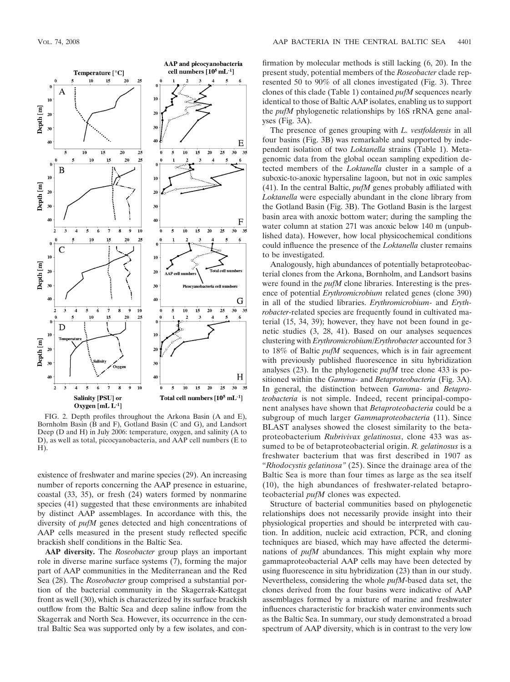

FIG. 2. Depth profiles throughout the Arkona Basin (A and E), Bornholm Basin (B and F), Gotland Basin (C and G), and Landsort Deep (D and H) in July 2006: temperature, oxygen, and salinity (A to D), as well as total, picocyanobacteria, and AAP cell numbers (E to H).

existence of freshwater and marine species (29). An increasing number of reports concerning the AAP presence in estuarine, coastal (33, 35), or fresh (24) waters formed by nonmarine species (41) suggested that these environments are inhabited by distinct AAP assemblages. In accordance with this, the diversity of *pufM* genes detected and high concentrations of AAP cells measured in the present study reflected specific brackish shelf conditions in the Baltic Sea.

**AAP diversity.** The *Roseobacter* group plays an important role in diverse marine surface systems (7), forming the major part of AAP communities in the Mediterranean and the Red Sea (28). The *Roseobacter* group comprised a substantial portion of the bacterial community in the Skagerrak-Kattegat front as well (30), which is characterized by its surface brackish outflow from the Baltic Sea and deep saline inflow from the Skagerrak and North Sea. However, its occurrence in the central Baltic Sea was supported only by a few isolates, and confirmation by molecular methods is still lacking (6, 20). In the present study, potential members of the *Roseobacter* clade represented 50 to 90% of all clones investigated (Fig. 3). Three clones of this clade (Table 1) contained *pufM* sequences nearly identical to those of Baltic AAP isolates, enabling us to support the *pufM* phylogenetic relationships by 16S rRNA gene analyses (Fig. 3A).

The presence of genes grouping with *L. vestfoldensis* in all four basins (Fig. 3B) was remarkable and supported by independent isolation of two *Loktanella* strains (Table 1). Metagenomic data from the global ocean sampling expedition detected members of the *Loktanella* cluster in a sample of a suboxic-to-anoxic hypersaline lagoon, but not in oxic samples (41). In the central Baltic, *pufM* genes probably affiliated with *Loktanella* were especially abundant in the clone library from the Gotland Basin (Fig. 3B). The Gotland Basin is the largest basin area with anoxic bottom water; during the sampling the water column at station 271 was anoxic below 140 m (unpublished data). However, how local physicochemical conditions could influence the presence of the *Loktanella* cluster remains to be investigated.

Analogously, high abundances of potentially betaproteobacterial clones from the Arkona, Bornholm, and Landsort basins were found in the *pufM* clone libraries. Interesting is the presence of potential *Erythromicrobium* related genes (clone 390) in all of the studied libraries. *Erythromicrobium*- and *Erythrobacter*-related species are frequently found in cultivated material (15, 34, 39); however, they have not been found in genetic studies (3, 28, 41). Based on our analyses sequences clustering with *Erythromicrobium/Erythrobacter* accounted for 3 to 18% of Baltic *pufM* sequences, which is in fair agreement with previously published fluorescence in situ hybridization analyses (23). In the phylogenetic *pufM* tree clone 433 is positioned within the *Gamma*- and *Betaproteobacteria* (Fig. 3A). In general, the distinction between *Gamma-* and *Betaproteobacteria* is not simple. Indeed, recent principal-component analyses have shown that *Betaproteobacteria* could be a subgroup of much larger *Gammaproteobacteria* (11). Since BLAST analyses showed the closest similarity to the betaproteobacterium *Rubrivivax gelatinosus*, clone 433 was assumed to be of betaproteobacterial origin. *R. gelatinosus* is a freshwater bacterium that was first described in 1907 as "*Rhodocystis gelatinosa"* (25). Since the drainage area of the Baltic Sea is more than four times as large as the sea itself (10), the high abundances of freshwater-related betaproteobacterial *pufM* clones was expected.

Structure of bacterial communities based on phylogenetic relationships does not necessarily provide insight into their physiological properties and should be interpreted with caution. In addition, nucleic acid extraction, PCR, and cloning techniques are biased, which may have affected the determinations of *pufM* abundances. This might explain why more gammaproteobacterial AAP cells may have been detected by using fluorescence in situ hybridization (23) than in our study. Nevertheless, considering the whole *pufM*-based data set, the clones derived from the four basins were indicative of AAP assemblages formed by a mixture of marine and freshwater influences characteristic for brackish water environments such as the Baltic Sea. In summary, our study demonstrated a broad spectrum of AAP diversity, which is in contrast to the very low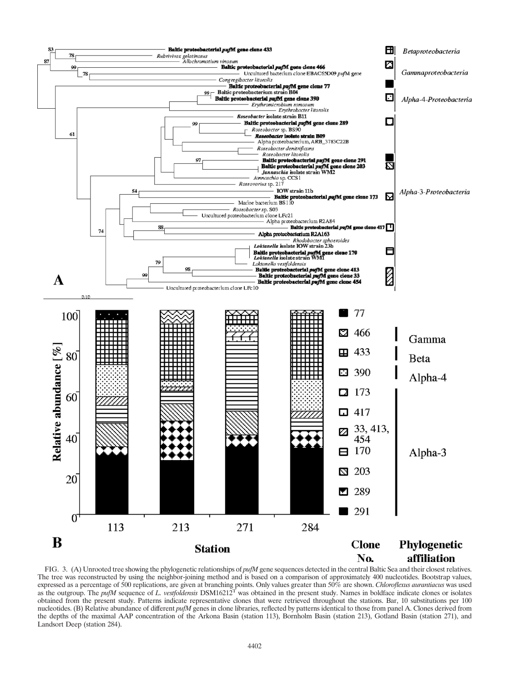

FIG. 3. (A) Unrooted tree showing the phylogenetic relationships of *pufM* gene sequences detected in the central Baltic Sea and their closest relatives. The tree was reconstructed by using the neighbor-joining method and is based on a comparison of approximately 400 nucleotides. Bootstrap values, expressed as a percentage of 500 replications, are given at branching points. Only values greater than 50% are shown. *Chloroflexus aurantiacus* was used as the outgroup. The *pufM* sequence of *L. vestfoldensis* DSM16212T was obtained in the present study. Names in boldface indicate clones or isolates obtained from the present study. Patterns indicate representative clones that were retrieved throughout the stations. Bar, 10 substitutions per 100 nucleotides. (B) Relative abundance of different *pufM* genes in clone libraries, reflected by patterns identical to those from panel A. Clones derived from the depths of the maximal AAP concentration of the Arkona Basin (station 113), Bornholm Basin (station 213), Gotland Basin (station 271), and Landsort Deep (station 284).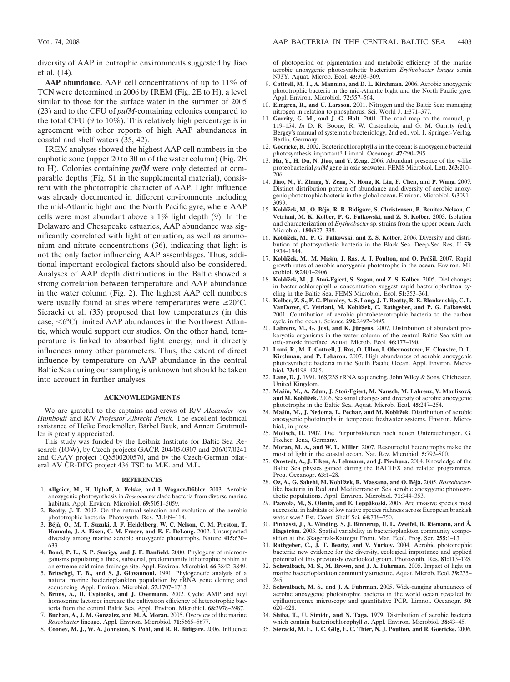diversity of AAP in eutrophic environments suggested by Jiao et al. (14).

**AAP abundance.** AAP cell concentrations of up to 11% of TCN were determined in 2006 by IREM (Fig. 2E to H), a level similar to those for the surface water in the summer of 2005 (23) and to the CFU of *pufM*-containing colonies compared to the total CFU (9 to 10%). This relatively high percentage is in agreement with other reports of high AAP abundances in coastal and shelf waters (35, 42).

IREM analyses showed the highest AAP cell numbers in the euphotic zone (upper 20 to 30 m of the water column) (Fig. 2E to H). Colonies containing *pufM* were only detected at comparable depths (Fig. S1 in the supplemental material), consistent with the phototrophic character of AAP. Light influence was already documented in different environments including the mid-Atlantic bight and the North Pacific gyre, where AAP cells were most abundant above a 1% light depth (9). In the Delaware and Chesapeake estuaries, AAP abundance was significantly correlated with light attenuation, as well as ammonium and nitrate concentrations (36), indicating that light is not the only factor influencing AAP assemblages. Thus, additional important ecological factors should also be considered. Analyses of AAP depth distributions in the Baltic showed a strong correlation between temperature and AAP abundance in the water column (Fig. 2). The highest AAP cell numbers were usually found at sites where temperatures were  $\geq 20^{\circ}$ C. Sieracki et al. (35) proposed that low temperatures (in this case,  $\langle 6^{\circ}$ C) limited AAP abundances in the Northwest Atlantic, which would support our studies. On the other hand, temperature is linked to absorbed light energy, and it directly influences many other parameters. Thus, the extent of direct influence by temperature on AAP abundance in the central Baltic Sea during our sampling is unknown but should be taken into account in further analyses.

### **ACKNOWLEDGMENTS**

We are grateful to the captains and crews of R/V *Alexander von Humboldt* and R/V *Professor Albrecht Penck*. The excellent technical assistance of Heike Brockmöller, Bärbel Buuk, and Annett Grüttmüller is greatly appreciated.

This study was funded by the Leibniz Institute for Baltic Sea Research (IOW), by Czech projects GAČR 204/05/0307 and 206/07/0241 and GAAV project 1QS500200570, and by the Czech-German bilateral AV ČR-DFG project 436 TSE to M.K. and M.L.

#### **REFERENCES**

- 1. Allgaier, M., H. Uphoff, A. Felske, and I. Wagner-Döbler. 2003. Aerobic anoxygenic photosynthesis in *Roseobacter* clade bacteria from diverse marine habitats. Appl. Environ. Microbiol. **69:**5051–5059.
- 2. **Beatty, J. T.** 2002. On the natural selection and evolution of the aerobic phototrophic bacteria. Photosynth. Res. **73:**109–114.
- 3. **Be´ja`, O., M. T. Suzuki, J. F. Heidelberg, W. C. Nelson, C. M. Preston, T. Hamada, J. A. Eisen, C. M. Fraser, and E. F. DeLong.** 2002. Unsuspected diversity among marine aerobic anoxygenic phototrophs. Nature **415:**630– 633.
- 4. **Bond, P. L., S. P. Smriga, and J. F. Banfield.** 2000. Phylogeny of microorganisms populating a thick, subaerial, predominantly lithotrophic biofilm at an extreme acid mine drainage site. Appl. Environ. Microbiol. **66:**3842–3849.
- 5. **Britschgi, T. B., and S. J. Giovannoni.** 1991. Phylogenetic analysis of a natural marine bacterioplankton population by rRNA gene cloning and sequencing. Appl. Environ. Microbiol. **57:**1707–1713.
- 6. **Bruns, A., H. Cypionka, and J. Overmann.** 2002. Cyclic AMP and acyl homoserine lactones increase the cultivation efficiency of heterotrophic bacteria from the central Baltic Sea. Appl. Environ. Microbiol. **68:**3978–3987.
- 7. **Buchan, A., J. M. Gonzalez, and M. A. Moran.** 2005. Overview of the marine *Roseobacter* lineage. Appl. Environ. Microbiol. **71:**5665–5677.
- 8. **Cooney, M. J., W. A. Johnston, S. Pohl, and R. R. Bidigare.** 2006. Influence

of photoperiod on pigmentation and metabolic efficiency of the marine aerobic anoxygenic photosynthetic bacterium *Erythrobacter longus* strain NJ3Y. Aquat. Microb. Ecol. **43:**303–309.

- 9. **Cottrell, M. T., A. Mannino, and D. L. Kirchman.** 2006. Aerobic anoxygenic phototrophic bacteria in the mid-Atlantic bight and the North Pacific gyre. Appl. Environ. Microbiol. **72:**557–564.
- 10. **Elmgren, R., and U. Larsson.** 2001. Nitrogen and the Baltic Sea: managing nitrogen in relation to phosphorus. Sci. World J. **1:**371–377.
- 11. **Garrity, G. M., and J. G. Holt.** 2001. The road map to the manual, p. 119–154. *In* D. R. Boone, R. W. Castenholz, and G. M. Garrity (ed.), Bergey's manual of systematic bacteriology, 2nd ed., vol. 1. Springer-Verlag, Berlin, Germany.
- 12. **Goericke, R.** 2002. Bacteriochlorophyll *a* in the ocean: is anoxygenic bacterial photosynthesis important? Limnol. Oceanogr. **47:**290–295.
- 13. Hu, Y., H. Du, N. Jiao, and Y. Zeng. 2006. Abundant presence of the  $\gamma$ -like proteobacterial *pufM* gene in oxic seawater. FEMS Microbiol. Lett. **263:**200– 206.
- 14. **Jiao, N., Y. Zhang, Y. Zeng, N. Hong, R. Liu, F. Chen, and P. Wang.** 2007. Distinct distribution pattern of abundance and diversity of aerobic anoxygenic phototrophic bacteria in the global ocean. Environ. Microbiol. **9:**3091– 3099.
- 15. Koblížek, M., O. Béjà, R. R. Bidigare, S. Christensen, B. Benitez-Nelson, C. **Vetriani, M. K. Kolber, P. G. Falkowski, and Z. S. Kolber.** 2003. Isolation and characterization of *Erythrobacter* sp. strains from the upper ocean. Arch. Microbiol. **180:**327–338.
- 16. **Koblížek, M., P. G. Falkowski, and Z. S. Kolber.** 2006. Diversity and distribution of photosynthetic bacteria in the Black Sea. Deep-Sea Res. II **53:** 1934–1944.
- 17. Koblížek, M., M. Mašín, J. Ras, A. J. Poulton, and O. Prášil. 2007. Rapid growth rates of aerobic anoxygenic phototrophs in the ocean. Environ. Microbiol. **9:**2401–2406.
- 18. Koblížek, M., J. Stoń-Egiert, S. Sagan, and Z. S. Kolber. 2005. Diel changes in bacteriochlorophyll *a* concentration suggest rapid bacterioplankton cycling in the Baltic Sea. FEMS Microbiol. Ecol. **51:**353–361.
- 19. **Kolber, Z. S., F. G. Plumley, A. S. Lang, J. T. Beatty, R. E. Blankenship, C. L.** VanDover, C. Vetriani, M. Koblížek, C. Rathgeber, and P. G. Falkowski. 2001. Contribution of aerobic photoheterotrophic bacteria to the carbon cycle in the ocean. Science **292:**2492–2495.
- 20. Labrenz, M., G. Jost, and K. Jürgens. 2007. Distribution of abundant prokaryotic organisms in the water column of the central Baltic Sea with an oxic-anoxic interface. Aquat. Microb. Ecol. **46:**177–190.
- 21. **Lami, R., M. T. Cottrell, J. Ras, O. Ulloa, I. Obernosterer, H. Claustre, D. L. Kirchman, and P. Lebaron.** 2007. High abundances of aerobic anoxygenic photosynthetic bacteria in the South Pacific Ocean. Appl. Environ. Microbiol. **73:**4198–4205.
- 22. **Lane, D. J.** 1991. 16S/23S rRNA sequencing. John Wiley & Sons, Chichester, United Kingdom.
- 23. Mašín, M., A. Zdun, J. Stoń-Egiert, M. Nausch, M. Labrenz, V. Moulisová, and M. Koblížek. 2006. Seasonal changes and diversity of aerobic anoxygenic phototrophs in the Baltic Sea. Aquat. Microb. Ecol. **45:**247–254.
- 24. Mašín, M., J. Nedoma, L. Pechar, and M. Koblížek. Distribution of aerobic anoxygenic phototrophs in temperate freshwater systems. Environ. Microbiol., in press.
- 25. **Molisch, H.** 1907. Die Purpurbakterien nach neuen Untersuchungen. G. Fischer, Jena, Germany.
- 26. **Moran, M. A., and W. L. Miller.** 2007. Resourceful heterotrophs make the most of light in the coastal ocean. Nat. Rev. Microbiol. **5:**792–800.
- 27. **Omstedt, A., J. Elken, A. Lehmann, and J. Piechura.** 2004. Knowledge of the Baltic Sea physics gained during the BALTEX and related programmes. Prog. Oceanogr. **63:**1–28.
- 28. **Oz, A., G. Sabehi, M. Koblížek, R. Massana, and O. Béjà.** 2005. *Roseobacter*like bacteria in Red and Mediterranean Sea aerobic anoxygenic photosynthetic populations. Appl. Environ. Microbiol. **71:**344–353.
- 29. Paavola, M., S. Olenin, and E. Leppäkoski. 2005. Are invasive species most successful in habitats of low native species richness across European brackish water seas? Est. Coast. Shelf Sci. **64:**738–750.
- 30. **Pinhassi, J., A. Winding, S. J. Binnerup, U. L. Zweifel, B. Riemann, and Å.** Hagström. 2003. Spatial variability in bacterioplankton community composition at the Skagerrak-Kattegat Front. Mar. Ecol. Prog. Ser. **255:**1–13.
- 31. **Rathgeber, C., J. T. Beatty, and V. Yurkov.** 2004. Aerobic phototrophic bacteria: new evidence for the diversity, ecological importance and applied potential of this previously overlooked group. Photosynth. Res. **81:**113–128.
- 32. **Schwalbach, M. S., M. Brown, and J. A. Fuhrman.** 2005. Impact of light on marine bacterioplankton community structure. Aquat. Microb. Ecol. **39:**235– 245.
- 33. **Schwalbach, M. S., and J. A. Fuhrman.** 2005. Wide-ranging abundances of aerobic anoxygenic phototrophic bacteria in the world ocean revealed by epifluorescence microscopy and quantitative PCR. Limnol. Oceanogr. **50:** 620–628.
- 34. **Shiba, T., U. Simidu, and N. Taga.** 1979. Distribution of aerobic bacteria which contain bacteriochlorophyll *a*. Appl. Environ. Microbiol. **38:**43–45.
- 35. **Sieracki, M. E., I. C. Gilg, E. C. Thier, N. J. Poulton, and R. Goericke.** 2006.